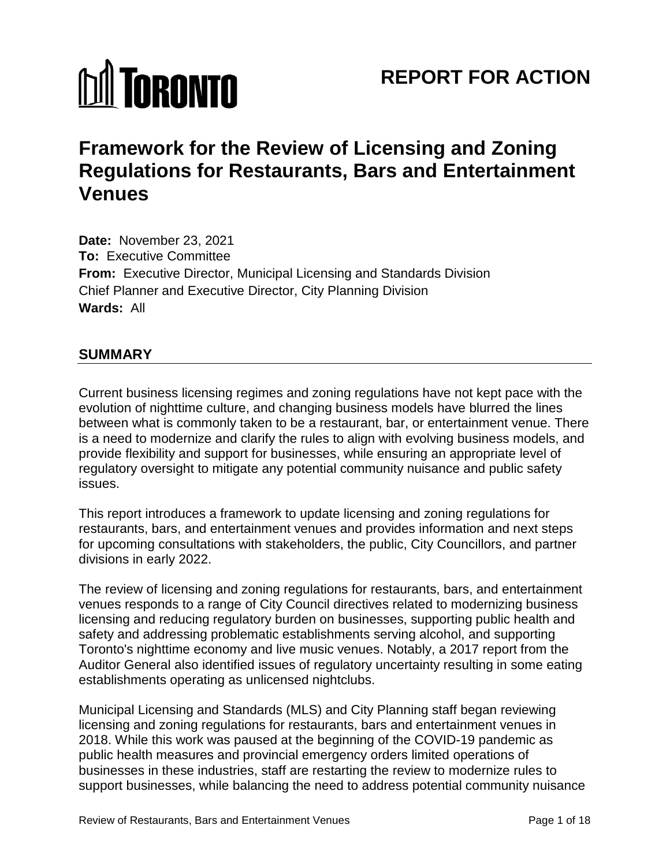# **M** TORONTO

# **REPORT FOR ACTION**

# **Framework for the Review of Licensing and Zoning Regulations for Restaurants, Bars and Entertainment Venues**

**Date:** November 23, 2021 **To:** Executive Committee **From:** Executive Director, Municipal Licensing and Standards Division Chief Planner and Executive Director, City Planning Division **Wards:** All

# **SUMMARY**

Current business licensing regimes and zoning regulations have not kept pace with the evolution of nighttime culture, and changing business models have blurred the lines between what is commonly taken to be a restaurant, bar, or entertainment venue. There is a need to modernize and clarify the rules to align with evolving business models, and provide flexibility and support for businesses, while ensuring an appropriate level of regulatory oversight to mitigate any potential community nuisance and public safety issues.

This report introduces a framework to update licensing and zoning regulations for restaurants, bars, and entertainment venues and provides information and next steps for upcoming consultations with stakeholders, the public, City Councillors, and partner divisions in early 2022.

The review of licensing and zoning regulations for restaurants, bars, and entertainment venues responds to a range of City Council directives related to modernizing business licensing and reducing regulatory burden on businesses, supporting public health and safety and addressing problematic establishments serving alcohol, and supporting Toronto's nighttime economy and live music venues. Notably, a 2017 report from the Auditor General also identified issues of regulatory uncertainty resulting in some eating establishments operating as unlicensed nightclubs.

Municipal Licensing and Standards (MLS) and City Planning staff began reviewing licensing and zoning regulations for restaurants, bars and entertainment venues in 2018. While this work was paused at the beginning of the COVID-19 pandemic as public health measures and provincial emergency orders limited operations of businesses in these industries, staff are restarting the review to modernize rules to support businesses, while balancing the need to address potential community nuisance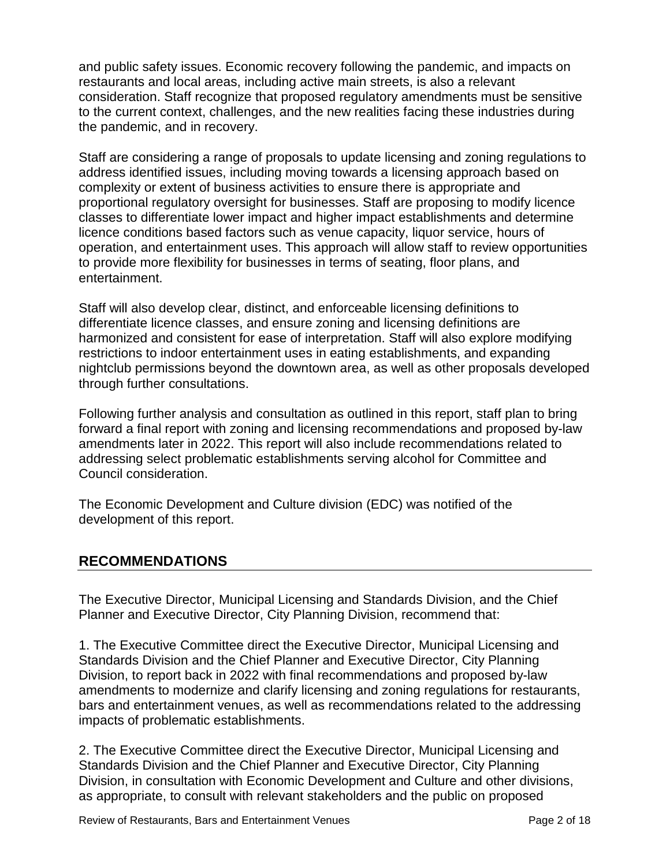and public safety issues. Economic recovery following the pandemic, and impacts on restaurants and local areas, including active main streets, is also a relevant consideration. Staff recognize that proposed regulatory amendments must be sensitive to the current context, challenges, and the new realities facing these industries during the pandemic, and in recovery.

Staff are considering a range of proposals to update licensing and zoning regulations to address identified issues, including moving towards a licensing approach based on complexity or extent of business activities to ensure there is appropriate and proportional regulatory oversight for businesses. Staff are proposing to modify licence classes to differentiate lower impact and higher impact establishments and determine licence conditions based factors such as venue capacity, liquor service, hours of operation, and entertainment uses. This approach will allow staff to review opportunities to provide more flexibility for businesses in terms of seating, floor plans, and entertainment.

Staff will also develop clear, distinct, and enforceable licensing definitions to differentiate licence classes, and ensure zoning and licensing definitions are harmonized and consistent for ease of interpretation. Staff will also explore modifying restrictions to indoor entertainment uses in eating establishments, and expanding nightclub permissions beyond the downtown area, as well as other proposals developed through further consultations.

Following further analysis and consultation as outlined in this report, staff plan to bring forward a final report with zoning and licensing recommendations and proposed by-law amendments later in 2022. This report will also include recommendations related to addressing select problematic establishments serving alcohol for Committee and Council consideration.

The Economic Development and Culture division (EDC) was notified of the development of this report.

# **RECOMMENDATIONS**

The Executive Director, Municipal Licensing and Standards Division, and the Chief Planner and Executive Director, City Planning Division, recommend that:

1. The Executive Committee direct the Executive Director, Municipal Licensing and Standards Division and the Chief Planner and Executive Director, City Planning Division, to report back in 2022 with final recommendations and proposed by-law amendments to modernize and clarify licensing and zoning regulations for restaurants, bars and entertainment venues, as well as recommendations related to the addressing impacts of problematic establishments.

2. The Executive Committee direct the Executive Director, Municipal Licensing and Standards Division and the Chief Planner and Executive Director, City Planning Division, in consultation with Economic Development and Culture and other divisions, as appropriate, to consult with relevant stakeholders and the public on proposed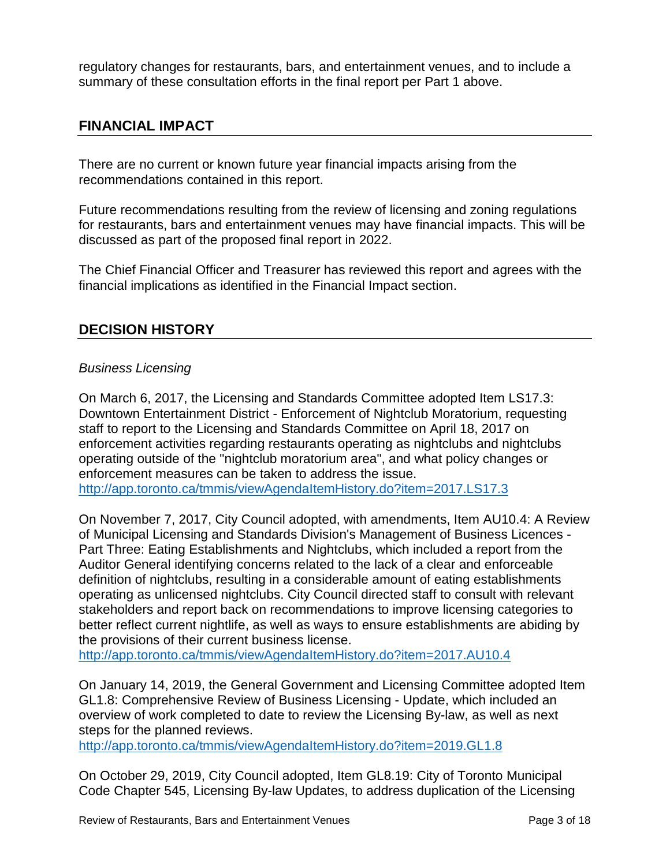regulatory changes for restaurants, bars, and entertainment venues, and to include a summary of these consultation efforts in the final report per Part 1 above.

# **FINANCIAL IMPACT**

There are no current or known future year financial impacts arising from the recommendations contained in this report.

Future recommendations resulting from the review of licensing and zoning regulations for restaurants, bars and entertainment venues may have financial impacts. This will be discussed as part of the proposed final report in 2022.

The Chief Financial Officer and Treasurer has reviewed this report and agrees with the financial implications as identified in the Financial Impact section.

# **DECISION HISTORY**

#### *Business Licensing*

On March 6, 2017, the Licensing and Standards Committee adopted Item LS17.3: Downtown Entertainment District - Enforcement of Nightclub Moratorium, requesting staff to report to the Licensing and Standards Committee on April 18, 2017 on enforcement activities regarding restaurants operating as nightclubs and nightclubs operating outside of the "nightclub moratorium area", and what policy changes or enforcement measures can be taken to address the issue. <http://app.toronto.ca/tmmis/viewAgendaItemHistory.do?item=2017.LS17.3>

On November 7, 2017, City Council adopted, with amendments, Item AU10.4: A Review of Municipal Licensing and Standards Division's Management of Business Licences - Part Three: Eating Establishments and Nightclubs, which included a report from the Auditor General identifying concerns related to the lack of a clear and enforceable definition of nightclubs, resulting in a considerable amount of eating establishments operating as unlicensed nightclubs. City Council directed staff to consult with relevant stakeholders and report back on recommendations to improve licensing categories to better reflect current nightlife, as well as ways to ensure establishments are abiding by the provisions of their current business license.

<http://app.toronto.ca/tmmis/viewAgendaItemHistory.do?item=2017.AU10.4>

On January 14, 2019, the General Government and Licensing Committee adopted Item GL1.8: Comprehensive Review of Business Licensing - Update, which included an overview of work completed to date to review the Licensing By-law, as well as next steps for the planned reviews.

<http://app.toronto.ca/tmmis/viewAgendaItemHistory.do?item=2019.GL1.8>

On October 29, 2019, City Council adopted, Item GL8.19: City of Toronto Municipal Code Chapter 545, Licensing By-law Updates, to address duplication of the Licensing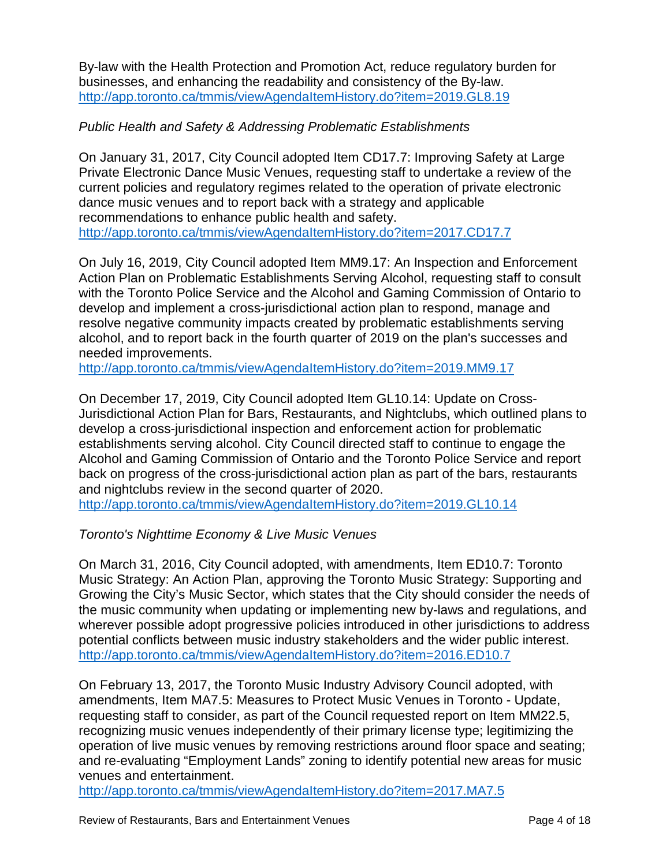By-law with the Health Protection and Promotion Act, reduce regulatory burden for businesses, and enhancing the readability and consistency of the By-law. <http://app.toronto.ca/tmmis/viewAgendaItemHistory.do?item=2019.GL8.19>

#### *Public Health and Safety & Addressing Problematic Establishments*

On January 31, 2017, City Council adopted Item CD17.7: Improving Safety at Large Private Electronic Dance Music Venues, requesting staff to undertake a review of the current policies and regulatory regimes related to the operation of private electronic dance music venues and to report back with a strategy and applicable recommendations to enhance public health and safety. <http://app.toronto.ca/tmmis/viewAgendaItemHistory.do?item=2017.CD17.7>

On July 16, 2019, City Council adopted Item MM9.17: An Inspection and Enforcement Action Plan on Problematic Establishments Serving Alcohol, requesting staff to consult with the Toronto Police Service and the Alcohol and Gaming Commission of Ontario to develop and implement a cross-jurisdictional action plan to respond, manage and resolve negative community impacts created by problematic establishments serving alcohol, and to report back in the fourth quarter of 2019 on the plan's successes and needed improvements.

<http://app.toronto.ca/tmmis/viewAgendaItemHistory.do?item=2019.MM9.17>

On December 17, 2019, City Council adopted Item GL10.14: Update on Cross-Jurisdictional Action Plan for Bars, Restaurants, and Nightclubs, which outlined plans to develop a cross-jurisdictional inspection and enforcement action for problematic establishments serving alcohol. City Council directed staff to continue to engage the Alcohol and Gaming Commission of Ontario and the Toronto Police Service and report back on progress of the cross-jurisdictional action plan as part of the bars, restaurants and nightclubs review in the second quarter of 2020.

<http://app.toronto.ca/tmmis/viewAgendaItemHistory.do?item=2019.GL10.14>

# *Toronto's Nighttime Economy & Live Music Venues*

On March 31, 2016, City Council adopted, with amendments, Item ED10.7: Toronto Music Strategy: An Action Plan, approving the Toronto Music Strategy: Supporting and Growing the City's Music Sector, which states that the City should consider the needs of the music community when updating or implementing new by-laws and regulations, and wherever possible adopt progressive policies introduced in other jurisdictions to address potential conflicts between music industry stakeholders and the wider public interest. <http://app.toronto.ca/tmmis/viewAgendaItemHistory.do?item=2016.ED10.7>

On February 13, 2017, the Toronto Music Industry Advisory Council adopted, with amendments, Item MA7.5: Measures to Protect Music Venues in Toronto - Update, requesting staff to consider, as part of the Council requested report on Item MM22.5, recognizing music venues independently of their primary license type; legitimizing the operation of live music venues by removing restrictions around floor space and seating; and re-evaluating "Employment Lands" zoning to identify potential new areas for music venues and entertainment.

<http://app.toronto.ca/tmmis/viewAgendaItemHistory.do?item=2017.MA7.5>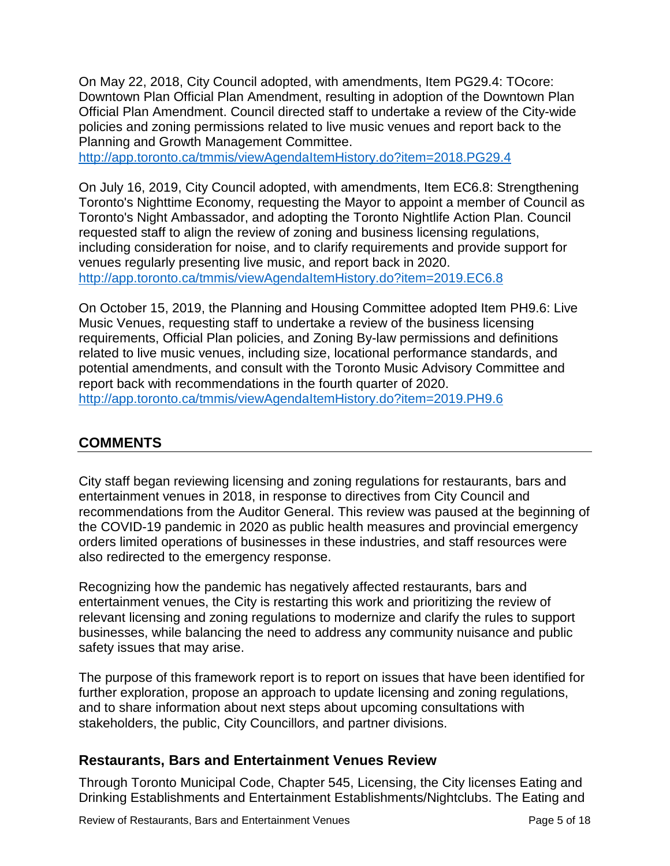On May 22, 2018, City Council adopted, with amendments, Item PG29.4: TOcore: Downtown Plan Official Plan Amendment, resulting in adoption of the Downtown Plan Official Plan Amendment. Council directed staff to undertake a review of the City-wide policies and zoning permissions related to live music venues and report back to the Planning and Growth Management Committee.

<http://app.toronto.ca/tmmis/viewAgendaItemHistory.do?item=2018.PG29.4>

On July 16, 2019, City Council adopted, with amendments, Item EC6.8: Strengthening Toronto's Nighttime Economy, requesting the Mayor to appoint a member of Council as Toronto's Night Ambassador, and adopting the Toronto Nightlife Action Plan. Council requested staff to align the review of zoning and business licensing regulations, including consideration for noise, and to clarify requirements and provide support for venues regularly presenting live music, and report back in 2020. <http://app.toronto.ca/tmmis/viewAgendaItemHistory.do?item=2019.EC6.8>

On October 15, 2019, the Planning and Housing Committee adopted Item PH9.6: Live Music Venues, requesting staff to undertake a review of the business licensing requirements, Official Plan policies, and Zoning By-law permissions and definitions related to live music venues, including size, locational performance standards, and potential amendments, and consult with the Toronto Music Advisory Committee and report back with recommendations in the fourth quarter of 2020. <http://app.toronto.ca/tmmis/viewAgendaItemHistory.do?item=2019.PH9.6>

# **COMMENTS**

City staff began reviewing licensing and zoning regulations for restaurants, bars and entertainment venues in 2018, in response to directives from City Council and recommendations from the Auditor General. This review was paused at the beginning of the COVID-19 pandemic in 2020 as public health measures and provincial emergency orders limited operations of businesses in these industries, and staff resources were also redirected to the emergency response.

Recognizing how the pandemic has negatively affected restaurants, bars and entertainment venues, the City is restarting this work and prioritizing the review of relevant licensing and zoning regulations to modernize and clarify the rules to support businesses, while balancing the need to address any community nuisance and public safety issues that may arise.

The purpose of this framework report is to report on issues that have been identified for further exploration, propose an approach to update licensing and zoning regulations, and to share information about next steps about upcoming consultations with stakeholders, the public, City Councillors, and partner divisions.

# **Restaurants, Bars and Entertainment Venues Review**

Through Toronto Municipal Code, Chapter 545, Licensing, the City licenses Eating and Drinking Establishments and Entertainment Establishments/Nightclubs. The Eating and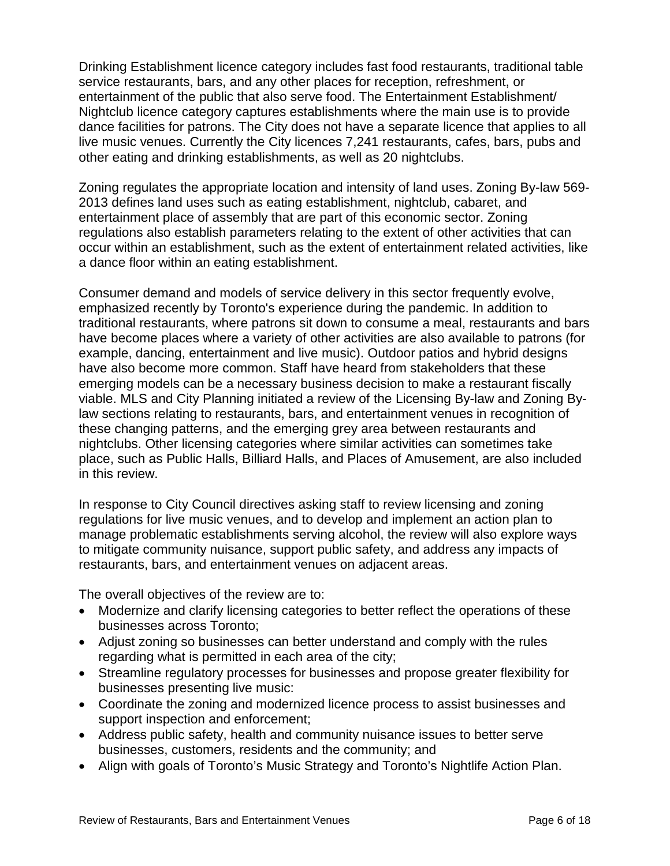Drinking Establishment licence category includes fast food restaurants, traditional table service restaurants, bars, and any other places for reception, refreshment, or entertainment of the public that also serve food. The Entertainment Establishment/ Nightclub licence category captures establishments where the main use is to provide dance facilities for patrons. The City does not have a separate licence that applies to all live music venues. Currently the City licences 7,241 restaurants, cafes, bars, pubs and other eating and drinking establishments, as well as 20 nightclubs.

Zoning regulates the appropriate location and intensity of land uses. Zoning By-law 569- 2013 defines land uses such as eating establishment, nightclub, cabaret, and entertainment place of assembly that are part of this economic sector. Zoning regulations also establish parameters relating to the extent of other activities that can occur within an establishment, such as the extent of entertainment related activities, like a dance floor within an eating establishment.

Consumer demand and models of service delivery in this sector frequently evolve, emphasized recently by Toronto's experience during the pandemic. In addition to traditional restaurants, where patrons sit down to consume a meal, restaurants and bars have become places where a variety of other activities are also available to patrons (for example, dancing, entertainment and live music). Outdoor patios and hybrid designs have also become more common. Staff have heard from stakeholders that these emerging models can be a necessary business decision to make a restaurant fiscally viable. MLS and City Planning initiated a review of the Licensing By-law and Zoning Bylaw sections relating to restaurants, bars, and entertainment venues in recognition of these changing patterns, and the emerging grey area between restaurants and nightclubs. Other licensing categories where similar activities can sometimes take place, such as Public Halls, Billiard Halls, and Places of Amusement, are also included in this review.

In response to City Council directives asking staff to review licensing and zoning regulations for live music venues, and to develop and implement an action plan to manage problematic establishments serving alcohol, the review will also explore ways to mitigate community nuisance, support public safety, and address any impacts of restaurants, bars, and entertainment venues on adjacent areas.

The overall objectives of the review are to:

- Modernize and clarify licensing categories to better reflect the operations of these businesses across Toronto;
- Adjust zoning so businesses can better understand and comply with the rules regarding what is permitted in each area of the city;
- Streamline regulatory processes for businesses and propose greater flexibility for businesses presenting live music:
- Coordinate the zoning and modernized licence process to assist businesses and support inspection and enforcement;
- Address public safety, health and community nuisance issues to better serve businesses, customers, residents and the community; and
- Align with goals of Toronto's Music Strategy and Toronto's Nightlife Action Plan.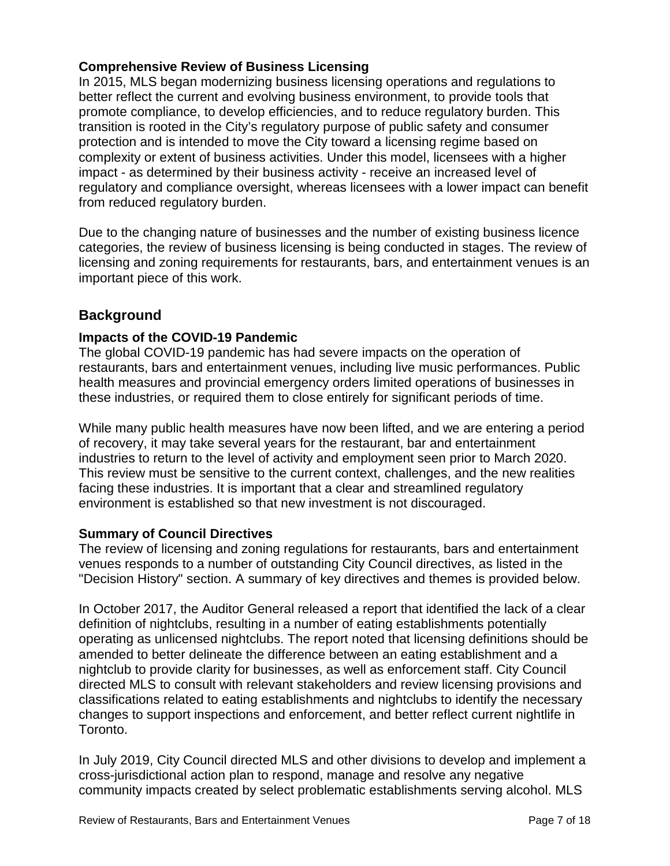#### **Comprehensive Review of Business Licensing**

In 2015, MLS began modernizing business licensing operations and regulations to better reflect the current and evolving business environment, to provide tools that promote compliance, to develop efficiencies, and to reduce regulatory burden. This transition is rooted in the City's regulatory purpose of public safety and consumer protection and is intended to move the City toward a licensing regime based on complexity or extent of business activities. Under this model, licensees with a higher impact - as determined by their business activity - receive an increased level of regulatory and compliance oversight, whereas licensees with a lower impact can benefit from reduced regulatory burden.

Due to the changing nature of businesses and the number of existing business licence categories, the review of business licensing is being conducted in stages. The review of licensing and zoning requirements for restaurants, bars, and entertainment venues is an important piece of this work.

# **Background**

#### **Impacts of the COVID-19 Pandemic**

The global COVID-19 pandemic has had severe impacts on the operation of restaurants, bars and entertainment venues, including live music performances. Public health measures and provincial emergency orders limited operations of businesses in these industries, or required them to close entirely for significant periods of time.

While many public health measures have now been lifted, and we are entering a period of recovery, it may take several years for the restaurant, bar and entertainment industries to return to the level of activity and employment seen prior to March 2020. This review must be sensitive to the current context, challenges, and the new realities facing these industries. It is important that a clear and streamlined regulatory environment is established so that new investment is not discouraged.

#### **Summary of Council Directives**

The review of licensing and zoning regulations for restaurants, bars and entertainment venues responds to a number of outstanding City Council directives, as listed in the "Decision History" section. A summary of key directives and themes is provided below.

In October 2017, the Auditor General released a report that identified the lack of a clear definition of nightclubs, resulting in a number of eating establishments potentially operating as unlicensed nightclubs. The report noted that licensing definitions should be amended to better delineate the difference between an eating establishment and a nightclub to provide clarity for businesses, as well as enforcement staff. City Council directed MLS to consult with relevant stakeholders and review licensing provisions and classifications related to eating establishments and nightclubs to identify the necessary changes to support inspections and enforcement, and better reflect current nightlife in Toronto.

In July 2019, City Council directed MLS and other divisions to develop and implement a cross-jurisdictional action plan to respond, manage and resolve any negative community impacts created by select problematic establishments serving alcohol. MLS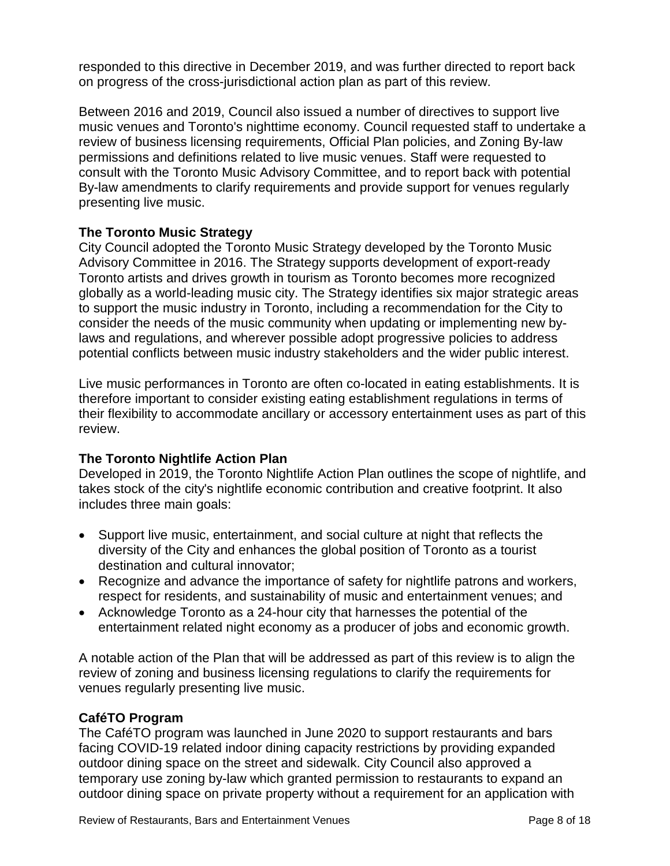responded to this directive in December 2019, and was further directed to report back on progress of the cross-jurisdictional action plan as part of this review.

Between 2016 and 2019, Council also issued a number of directives to support live music venues and Toronto's nighttime economy. Council requested staff to undertake a review of business licensing requirements, Official Plan policies, and Zoning By-law permissions and definitions related to live music venues. Staff were requested to consult with the Toronto Music Advisory Committee, and to report back with potential By-law amendments to clarify requirements and provide support for venues regularly presenting live music.

#### **The Toronto Music Strategy**

City Council adopted the Toronto Music Strategy developed by the Toronto Music Advisory Committee in 2016. The Strategy supports development of export-ready Toronto artists and drives growth in tourism as Toronto becomes more recognized globally as a world-leading music city. The Strategy identifies six major strategic areas to support the music industry in Toronto, including a recommendation for the City to consider the needs of the music community when updating or implementing new bylaws and regulations, and wherever possible adopt progressive policies to address potential conflicts between music industry stakeholders and the wider public interest.

Live music performances in Toronto are often co-located in eating establishments. It is therefore important to consider existing eating establishment regulations in terms of their flexibility to accommodate ancillary or accessory entertainment uses as part of this review.

# **The Toronto Nightlife Action Plan**

Developed in 2019, the Toronto Nightlife Action Plan outlines the scope of nightlife, and takes stock of the city's nightlife economic contribution and creative footprint. It also includes three main goals:

- Support live music, entertainment, and social culture at night that reflects the diversity of the City and enhances the global position of Toronto as a tourist destination and cultural innovator;
- Recognize and advance the importance of safety for nightlife patrons and workers, respect for residents, and sustainability of music and entertainment venues; and
- Acknowledge Toronto as a 24-hour city that harnesses the potential of the entertainment related night economy as a producer of jobs and economic growth.

A notable action of the Plan that will be addressed as part of this review is to align the review of zoning and business licensing regulations to clarify the requirements for venues regularly presenting live music.

# **CaféTO Program**

The CaféTO program was launched in June 2020 to support restaurants and bars facing COVID-19 related indoor dining capacity restrictions by providing expanded outdoor dining space on the street and sidewalk. City Council also approved a temporary use zoning by-law which granted permission to restaurants to expand an outdoor dining space on private property without a requirement for an application with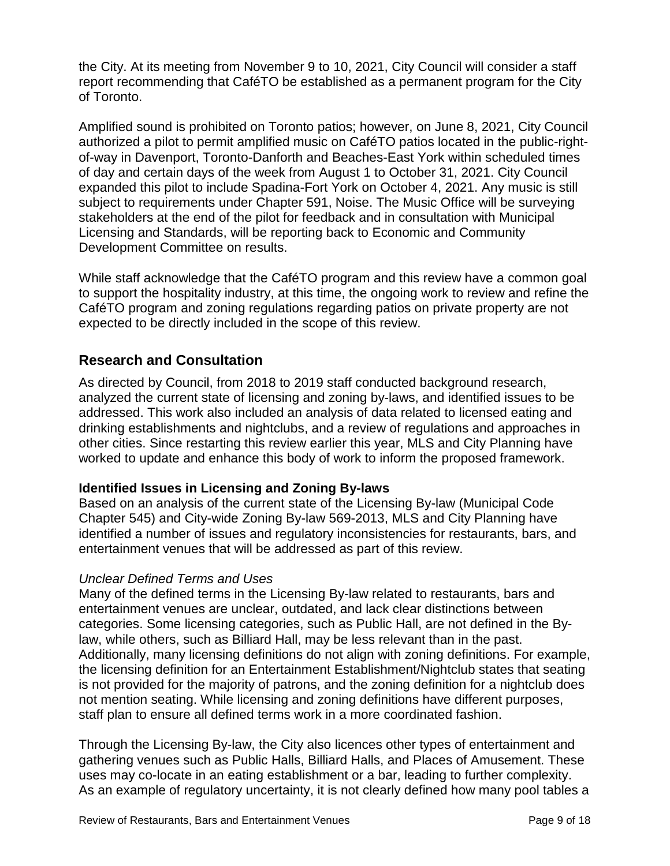the City. At its meeting from November 9 to 10, 2021, City Council will consider a staff report recommending that CaféTO be established as a permanent program for the City of Toronto.

Amplified sound is prohibited on Toronto patios; however, on June 8, 2021, City Council authorized a pilot to permit amplified music on CaféTO patios located in the public-rightof-way in Davenport, Toronto-Danforth and Beaches-East York within scheduled times of day and certain days of the week from August 1 to October 31, 2021. City Council expanded this pilot to include Spadina-Fort York on October 4, 2021. Any music is still subject to requirements under Chapter 591, Noise. The Music Office will be surveying stakeholders at the end of the pilot for feedback and in consultation with Municipal Licensing and Standards, will be reporting back to Economic and Community Development Committee on results.

While staff acknowledge that the CaféTO program and this review have a common goal to support the hospitality industry, at this time, the ongoing work to review and refine the CaféTO program and zoning regulations regarding patios on private property are not expected to be directly included in the scope of this review.

# **Research and Consultation**

As directed by Council, from 2018 to 2019 staff conducted background research, analyzed the current state of licensing and zoning by-laws, and identified issues to be addressed. This work also included an analysis of data related to licensed eating and drinking establishments and nightclubs, and a review of regulations and approaches in other cities. Since restarting this review earlier this year, MLS and City Planning have worked to update and enhance this body of work to inform the proposed framework.

# **Identified Issues in Licensing and Zoning By-laws**

Based on an analysis of the current state of the Licensing By-law (Municipal Code Chapter 545) and City-wide Zoning By-law 569-2013, MLS and City Planning have identified a number of issues and regulatory inconsistencies for restaurants, bars, and entertainment venues that will be addressed as part of this review.

#### *Unclear Defined Terms and Uses*

Many of the defined terms in the Licensing By-law related to restaurants, bars and entertainment venues are unclear, outdated, and lack clear distinctions between categories. Some licensing categories, such as Public Hall, are not defined in the Bylaw, while others, such as Billiard Hall, may be less relevant than in the past. Additionally, many licensing definitions do not align with zoning definitions. For example, the licensing definition for an Entertainment Establishment/Nightclub states that seating is not provided for the majority of patrons, and the zoning definition for a nightclub does not mention seating. While licensing and zoning definitions have different purposes, staff plan to ensure all defined terms work in a more coordinated fashion.

Through the Licensing By-law, the City also licences other types of entertainment and gathering venues such as Public Halls, Billiard Halls, and Places of Amusement. These uses may co-locate in an eating establishment or a bar, leading to further complexity. As an example of regulatory uncertainty, it is not clearly defined how many pool tables a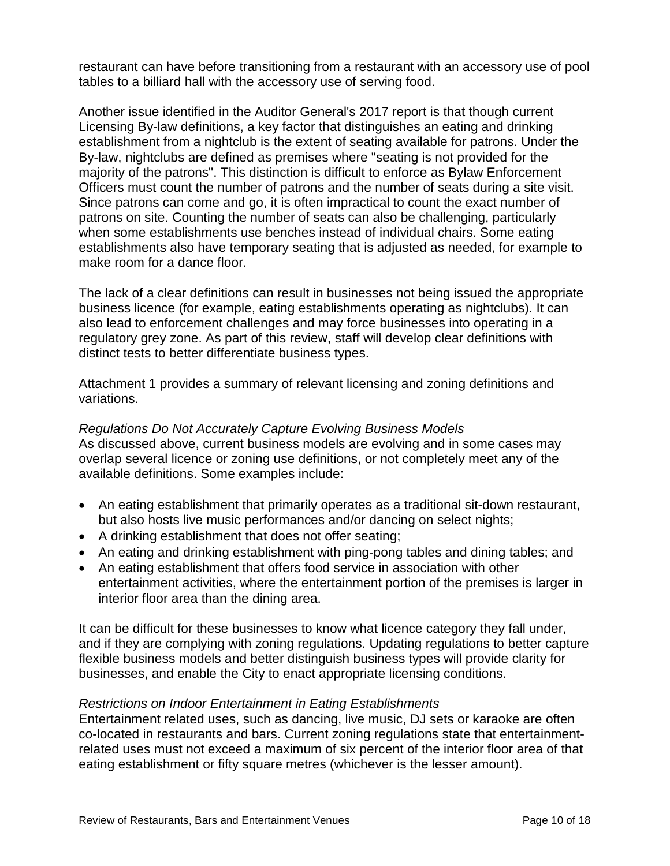restaurant can have before transitioning from a restaurant with an accessory use of pool tables to a billiard hall with the accessory use of serving food.

Another issue identified in the Auditor General's 2017 report is that though current Licensing By-law definitions, a key factor that distinguishes an eating and drinking establishment from a nightclub is the extent of seating available for patrons. Under the By-law, nightclubs are defined as premises where "seating is not provided for the majority of the patrons". This distinction is difficult to enforce as Bylaw Enforcement Officers must count the number of patrons and the number of seats during a site visit. Since patrons can come and go, it is often impractical to count the exact number of patrons on site. Counting the number of seats can also be challenging, particularly when some establishments use benches instead of individual chairs. Some eating establishments also have temporary seating that is adjusted as needed, for example to make room for a dance floor.

The lack of a clear definitions can result in businesses not being issued the appropriate business licence (for example, eating establishments operating as nightclubs). It can also lead to enforcement challenges and may force businesses into operating in a regulatory grey zone. As part of this review, staff will develop clear definitions with distinct tests to better differentiate business types.

Attachment 1 provides a summary of relevant licensing and zoning definitions and variations.

#### *Regulations Do Not Accurately Capture Evolving Business Models*

As discussed above, current business models are evolving and in some cases may overlap several licence or zoning use definitions, or not completely meet any of the available definitions. Some examples include:

- An eating establishment that primarily operates as a traditional sit-down restaurant, but also hosts live music performances and/or dancing on select nights;
- A drinking establishment that does not offer seating;
- An eating and drinking establishment with ping-pong tables and dining tables; and
- An eating establishment that offers food service in association with other entertainment activities, where the entertainment portion of the premises is larger in interior floor area than the dining area.

It can be difficult for these businesses to know what licence category they fall under, and if they are complying with zoning regulations. Updating regulations to better capture flexible business models and better distinguish business types will provide clarity for businesses, and enable the City to enact appropriate licensing conditions.

#### *Restrictions on Indoor Entertainment in Eating Establishments*

Entertainment related uses, such as dancing, live music, DJ sets or karaoke are often co-located in restaurants and bars. Current zoning regulations state that entertainmentrelated uses must not exceed a maximum of six percent of the interior floor area of that eating establishment or fifty square metres (whichever is the lesser amount).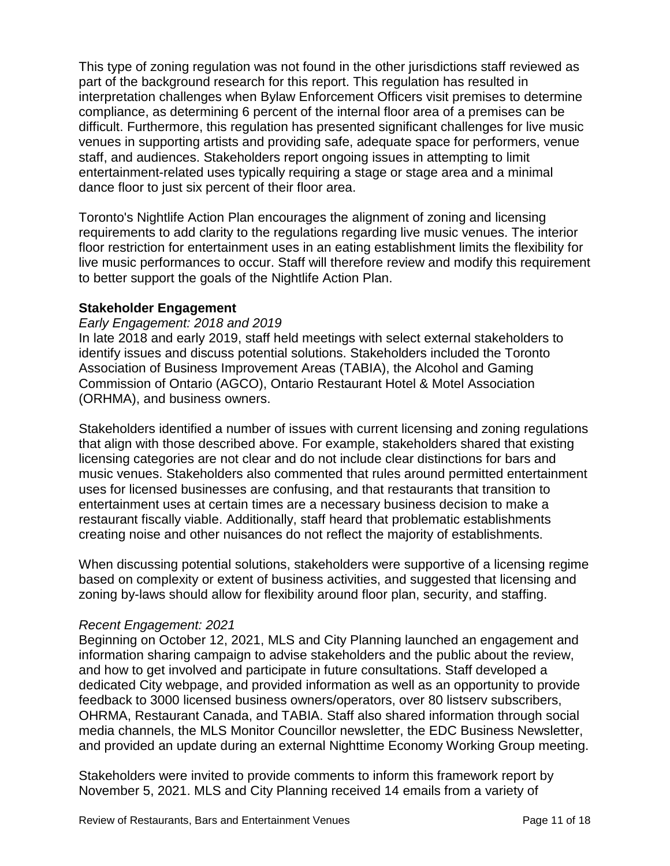This type of zoning regulation was not found in the other jurisdictions staff reviewed as part of the background research for this report. This regulation has resulted in interpretation challenges when Bylaw Enforcement Officers visit premises to determine compliance, as determining 6 percent of the internal floor area of a premises can be difficult. Furthermore, this regulation has presented significant challenges for live music venues in supporting artists and providing safe, adequate space for performers, venue staff, and audiences. Stakeholders report ongoing issues in attempting to limit entertainment-related uses typically requiring a stage or stage area and a minimal dance floor to just six percent of their floor area.

Toronto's Nightlife Action Plan encourages the alignment of zoning and licensing requirements to add clarity to the regulations regarding live music venues. The interior floor restriction for entertainment uses in an eating establishment limits the flexibility for live music performances to occur. Staff will therefore review and modify this requirement to better support the goals of the Nightlife Action Plan.

#### **Stakeholder Engagement**

#### *Early Engagement: 2018 and 2019*

In late 2018 and early 2019, staff held meetings with select external stakeholders to identify issues and discuss potential solutions. Stakeholders included the Toronto Association of Business Improvement Areas (TABIA), the Alcohol and Gaming Commission of Ontario (AGCO), Ontario Restaurant Hotel & Motel Association (ORHMA), and business owners.

Stakeholders identified a number of issues with current licensing and zoning regulations that align with those described above. For example, stakeholders shared that existing licensing categories are not clear and do not include clear distinctions for bars and music venues. Stakeholders also commented that rules around permitted entertainment uses for licensed businesses are confusing, and that restaurants that transition to entertainment uses at certain times are a necessary business decision to make a restaurant fiscally viable. Additionally, staff heard that problematic establishments creating noise and other nuisances do not reflect the majority of establishments.

When discussing potential solutions, stakeholders were supportive of a licensing regime based on complexity or extent of business activities, and suggested that licensing and zoning by-laws should allow for flexibility around floor plan, security, and staffing.

#### *Recent Engagement: 2021*

Beginning on October 12, 2021, MLS and City Planning launched an engagement and information sharing campaign to advise stakeholders and the public about the review, and how to get involved and participate in future consultations. Staff developed a dedicated City webpage, and provided information as well as an opportunity to provide feedback to 3000 licensed business owners/operators, over 80 listserv subscribers, OHRMA, Restaurant Canada, and TABIA. Staff also shared information through social media channels, the MLS Monitor Councillor newsletter, the EDC Business Newsletter, and provided an update during an external Nighttime Economy Working Group meeting.

Stakeholders were invited to provide comments to inform this framework report by November 5, 2021. MLS and City Planning received 14 emails from a variety of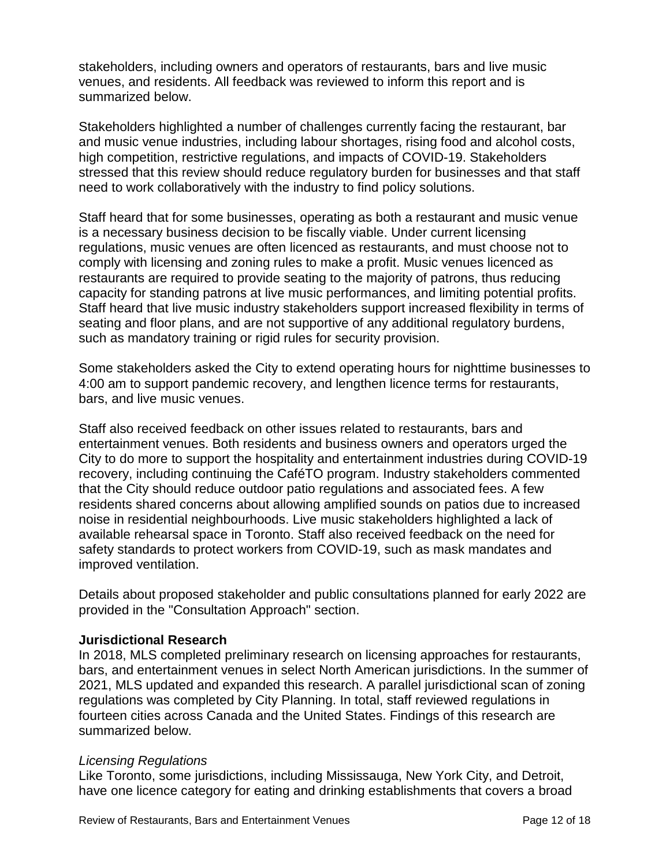stakeholders, including owners and operators of restaurants, bars and live music venues, and residents. All feedback was reviewed to inform this report and is summarized below.

Stakeholders highlighted a number of challenges currently facing the restaurant, bar and music venue industries, including labour shortages, rising food and alcohol costs, high competition, restrictive regulations, and impacts of COVID-19. Stakeholders stressed that this review should reduce regulatory burden for businesses and that staff need to work collaboratively with the industry to find policy solutions.

Staff heard that for some businesses, operating as both a restaurant and music venue is a necessary business decision to be fiscally viable. Under current licensing regulations, music venues are often licenced as restaurants, and must choose not to comply with licensing and zoning rules to make a profit. Music venues licenced as restaurants are required to provide seating to the majority of patrons, thus reducing capacity for standing patrons at live music performances, and limiting potential profits. Staff heard that live music industry stakeholders support increased flexibility in terms of seating and floor plans, and are not supportive of any additional regulatory burdens, such as mandatory training or rigid rules for security provision.

Some stakeholders asked the City to extend operating hours for nighttime businesses to 4:00 am to support pandemic recovery, and lengthen licence terms for restaurants, bars, and live music venues.

Staff also received feedback on other issues related to restaurants, bars and entertainment venues. Both residents and business owners and operators urged the City to do more to support the hospitality and entertainment industries during COVID-19 recovery, including continuing the CaféTO program. Industry stakeholders commented that the City should reduce outdoor patio regulations and associated fees. A few residents shared concerns about allowing amplified sounds on patios due to increased noise in residential neighbourhoods. Live music stakeholders highlighted a lack of available rehearsal space in Toronto. Staff also received feedback on the need for safety standards to protect workers from COVID-19, such as mask mandates and improved ventilation.

Details about proposed stakeholder and public consultations planned for early 2022 are provided in the "Consultation Approach" section.

#### **Jurisdictional Research**

In 2018, MLS completed preliminary research on licensing approaches for restaurants, bars, and entertainment venues in select North American jurisdictions. In the summer of 2021, MLS updated and expanded this research. A parallel jurisdictional scan of zoning regulations was completed by City Planning. In total, staff reviewed regulations in fourteen cities across Canada and the United States. Findings of this research are summarized below.

#### *Licensing Regulations*

Like Toronto, some jurisdictions, including Mississauga, New York City, and Detroit, have one licence category for eating and drinking establishments that covers a broad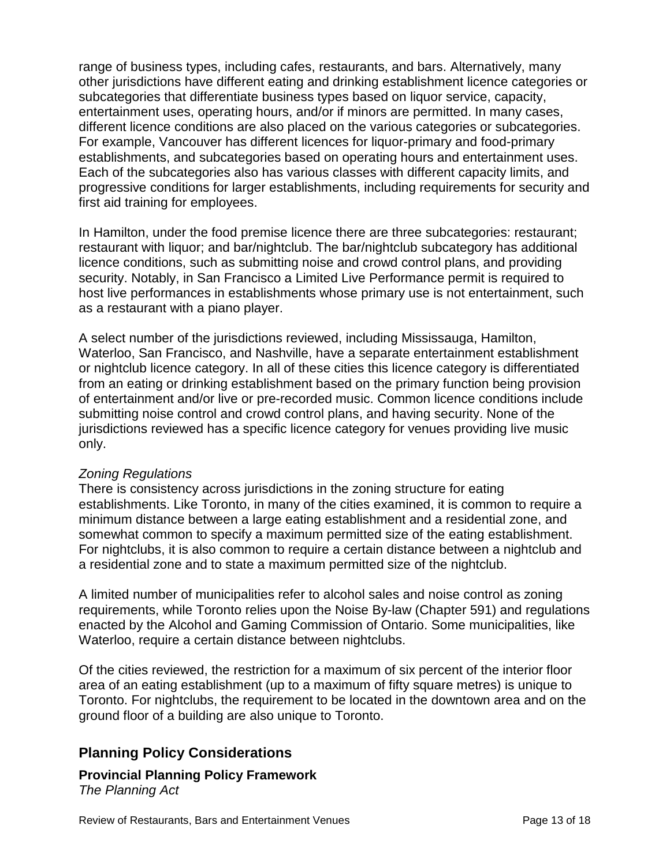range of business types, including cafes, restaurants, and bars. Alternatively, many other jurisdictions have different eating and drinking establishment licence categories or subcategories that differentiate business types based on liquor service, capacity, entertainment uses, operating hours, and/or if minors are permitted. In many cases, different licence conditions are also placed on the various categories or subcategories. For example, Vancouver has different licences for liquor-primary and food-primary establishments, and subcategories based on operating hours and entertainment uses. Each of the subcategories also has various classes with different capacity limits, and progressive conditions for larger establishments, including requirements for security and first aid training for employees.

In Hamilton, under the food premise licence there are three subcategories: restaurant; restaurant with liquor; and bar/nightclub. The bar/nightclub subcategory has additional licence conditions, such as submitting noise and crowd control plans, and providing security. Notably, in San Francisco a Limited Live Performance permit is required to host live performances in establishments whose primary use is not entertainment, such as a restaurant with a piano player.

A select number of the jurisdictions reviewed, including Mississauga, Hamilton, Waterloo, San Francisco, and Nashville, have a separate entertainment establishment or nightclub licence category. In all of these cities this licence category is differentiated from an eating or drinking establishment based on the primary function being provision of entertainment and/or live or pre-recorded music. Common licence conditions include submitting noise control and crowd control plans, and having security. None of the jurisdictions reviewed has a specific licence category for venues providing live music only.

#### *Zoning Regulations*

There is consistency across jurisdictions in the zoning structure for eating establishments. Like Toronto, in many of the cities examined, it is common to require a minimum distance between a large eating establishment and a residential zone, and somewhat common to specify a maximum permitted size of the eating establishment. For nightclubs, it is also common to require a certain distance between a nightclub and a residential zone and to state a maximum permitted size of the nightclub.

A limited number of municipalities refer to alcohol sales and noise control as zoning requirements, while Toronto relies upon the Noise By-law (Chapter 591) and regulations enacted by the Alcohol and Gaming Commission of Ontario. Some municipalities, like Waterloo, require a certain distance between nightclubs.

Of the cities reviewed, the restriction for a maximum of six percent of the interior floor area of an eating establishment (up to a maximum of fifty square metres) is unique to Toronto. For nightclubs, the requirement to be located in the downtown area and on the ground floor of a building are also unique to Toronto.

# **Planning Policy Considerations**

#### **Provincial Planning Policy Framework** *The Planning Act*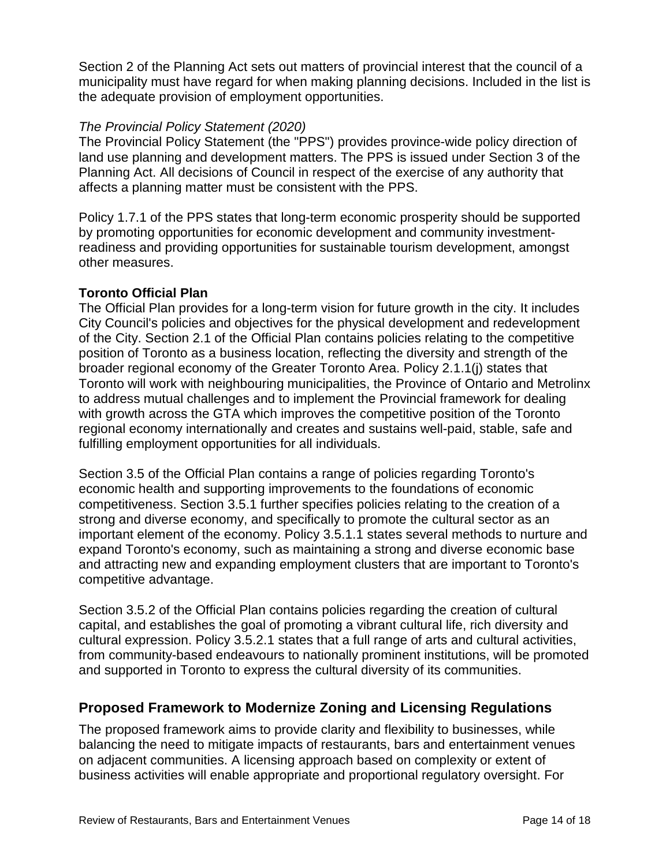Section 2 of the Planning Act sets out matters of provincial interest that the council of a municipality must have regard for when making planning decisions. Included in the list is the adequate provision of employment opportunities.

#### *The Provincial Policy Statement (2020)*

The Provincial Policy Statement (the "PPS") provides province-wide policy direction of land use planning and development matters. The PPS is issued under Section 3 of the Planning Act. All decisions of Council in respect of the exercise of any authority that affects a planning matter must be consistent with the PPS.

Policy 1.7.1 of the PPS states that long-term economic prosperity should be supported by promoting opportunities for economic development and community investmentreadiness and providing opportunities for sustainable tourism development, amongst other measures.

#### **Toronto Official Plan**

The Official Plan provides for a long-term vision for future growth in the city. It includes City Council's policies and objectives for the physical development and redevelopment of the City. Section 2.1 of the Official Plan contains policies relating to the competitive position of Toronto as a business location, reflecting the diversity and strength of the broader regional economy of the Greater Toronto Area. Policy 2.1.1(j) states that Toronto will work with neighbouring municipalities, the Province of Ontario and Metrolinx to address mutual challenges and to implement the Provincial framework for dealing with growth across the GTA which improves the competitive position of the Toronto regional economy internationally and creates and sustains well-paid, stable, safe and fulfilling employment opportunities for all individuals.

Section 3.5 of the Official Plan contains a range of policies regarding Toronto's economic health and supporting improvements to the foundations of economic competitiveness. Section 3.5.1 further specifies policies relating to the creation of a strong and diverse economy, and specifically to promote the cultural sector as an important element of the economy. Policy 3.5.1.1 states several methods to nurture and expand Toronto's economy, such as maintaining a strong and diverse economic base and attracting new and expanding employment clusters that are important to Toronto's competitive advantage.

Section 3.5.2 of the Official Plan contains policies regarding the creation of cultural capital, and establishes the goal of promoting a vibrant cultural life, rich diversity and cultural expression. Policy 3.5.2.1 states that a full range of arts and cultural activities, from community-based endeavours to nationally prominent institutions, will be promoted and supported in Toronto to express the cultural diversity of its communities.

# **Proposed Framework to Modernize Zoning and Licensing Regulations**

The proposed framework aims to provide clarity and flexibility to businesses, while balancing the need to mitigate impacts of restaurants, bars and entertainment venues on adjacent communities. A licensing approach based on complexity or extent of business activities will enable appropriate and proportional regulatory oversight. For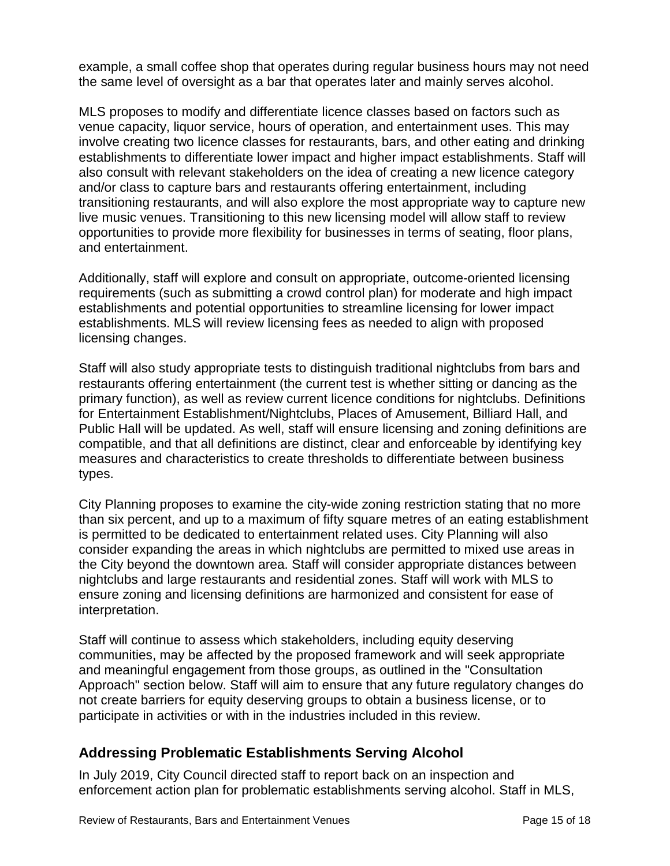example, a small coffee shop that operates during regular business hours may not need the same level of oversight as a bar that operates later and mainly serves alcohol.

MLS proposes to modify and differentiate licence classes based on factors such as venue capacity, liquor service, hours of operation, and entertainment uses. This may involve creating two licence classes for restaurants, bars, and other eating and drinking establishments to differentiate lower impact and higher impact establishments. Staff will also consult with relevant stakeholders on the idea of creating a new licence category and/or class to capture bars and restaurants offering entertainment, including transitioning restaurants, and will also explore the most appropriate way to capture new live music venues. Transitioning to this new licensing model will allow staff to review opportunities to provide more flexibility for businesses in terms of seating, floor plans, and entertainment.

Additionally, staff will explore and consult on appropriate, outcome-oriented licensing requirements (such as submitting a crowd control plan) for moderate and high impact establishments and potential opportunities to streamline licensing for lower impact establishments. MLS will review licensing fees as needed to align with proposed licensing changes.

Staff will also study appropriate tests to distinguish traditional nightclubs from bars and restaurants offering entertainment (the current test is whether sitting or dancing as the primary function), as well as review current licence conditions for nightclubs. Definitions for Entertainment Establishment/Nightclubs, Places of Amusement, Billiard Hall, and Public Hall will be updated. As well, staff will ensure licensing and zoning definitions are compatible, and that all definitions are distinct, clear and enforceable by identifying key measures and characteristics to create thresholds to differentiate between business types.

City Planning proposes to examine the city-wide zoning restriction stating that no more than six percent, and up to a maximum of fifty square metres of an eating establishment is permitted to be dedicated to entertainment related uses. City Planning will also consider expanding the areas in which nightclubs are permitted to mixed use areas in the City beyond the downtown area. Staff will consider appropriate distances between nightclubs and large restaurants and residential zones. Staff will work with MLS to ensure zoning and licensing definitions are harmonized and consistent for ease of interpretation.

Staff will continue to assess which stakeholders, including equity deserving communities, may be affected by the proposed framework and will seek appropriate and meaningful engagement from those groups, as outlined in the "Consultation Approach" section below. Staff will aim to ensure that any future regulatory changes do not create barriers for equity deserving groups to obtain a business license, or to participate in activities or with in the industries included in this review.

# **Addressing Problematic Establishments Serving Alcohol**

In July 2019, City Council directed staff to report back on an inspection and enforcement action plan for problematic establishments serving alcohol. Staff in MLS,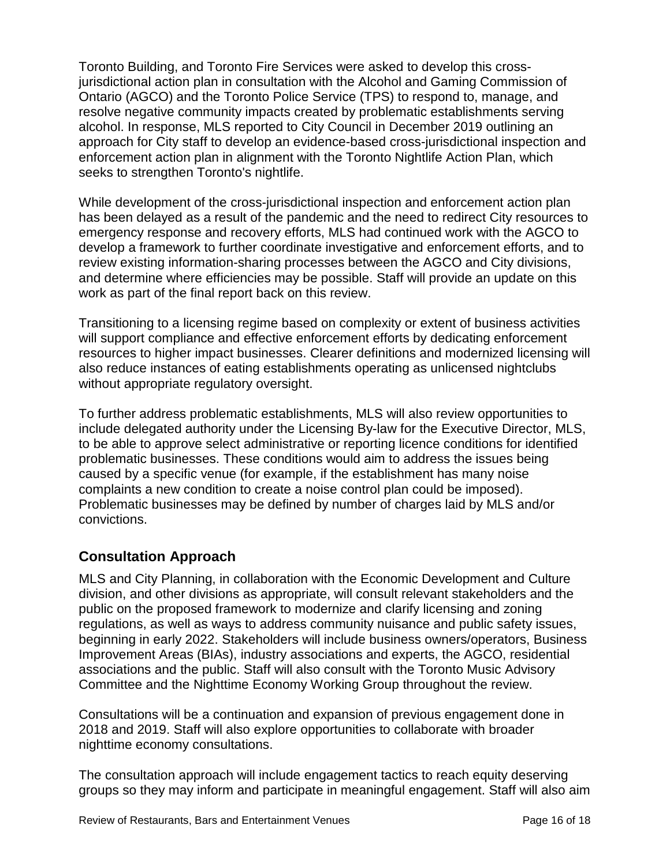Toronto Building, and Toronto Fire Services were asked to develop this crossjurisdictional action plan in consultation with the Alcohol and Gaming Commission of Ontario (AGCO) and the Toronto Police Service (TPS) to respond to, manage, and resolve negative community impacts created by problematic establishments serving alcohol. In response, MLS reported to City Council in December 2019 outlining an approach for City staff to develop an evidence-based cross-jurisdictional inspection and enforcement action plan in alignment with the Toronto Nightlife Action Plan, which seeks to strengthen Toronto's nightlife.

While development of the cross-jurisdictional inspection and enforcement action plan has been delayed as a result of the pandemic and the need to redirect City resources to emergency response and recovery efforts, MLS had continued work with the AGCO to develop a framework to further coordinate investigative and enforcement efforts, and to review existing information-sharing processes between the AGCO and City divisions, and determine where efficiencies may be possible. Staff will provide an update on this work as part of the final report back on this review.

Transitioning to a licensing regime based on complexity or extent of business activities will support compliance and effective enforcement efforts by dedicating enforcement resources to higher impact businesses. Clearer definitions and modernized licensing will also reduce instances of eating establishments operating as unlicensed nightclubs without appropriate regulatory oversight.

To further address problematic establishments, MLS will also review opportunities to include delegated authority under the Licensing By-law for the Executive Director, MLS, to be able to approve select administrative or reporting licence conditions for identified problematic businesses. These conditions would aim to address the issues being caused by a specific venue (for example, if the establishment has many noise complaints a new condition to create a noise control plan could be imposed). Problematic businesses may be defined by number of charges laid by MLS and/or convictions.

# **Consultation Approach**

MLS and City Planning, in collaboration with the Economic Development and Culture division, and other divisions as appropriate, will consult relevant stakeholders and the public on the proposed framework to modernize and clarify licensing and zoning regulations, as well as ways to address community nuisance and public safety issues, beginning in early 2022. Stakeholders will include business owners/operators, Business Improvement Areas (BIAs), industry associations and experts, the AGCO, residential associations and the public. Staff will also consult with the Toronto Music Advisory Committee and the Nighttime Economy Working Group throughout the review.

Consultations will be a continuation and expansion of previous engagement done in 2018 and 2019. Staff will also explore opportunities to collaborate with broader nighttime economy consultations.

The consultation approach will include engagement tactics to reach equity deserving groups so they may inform and participate in meaningful engagement. Staff will also aim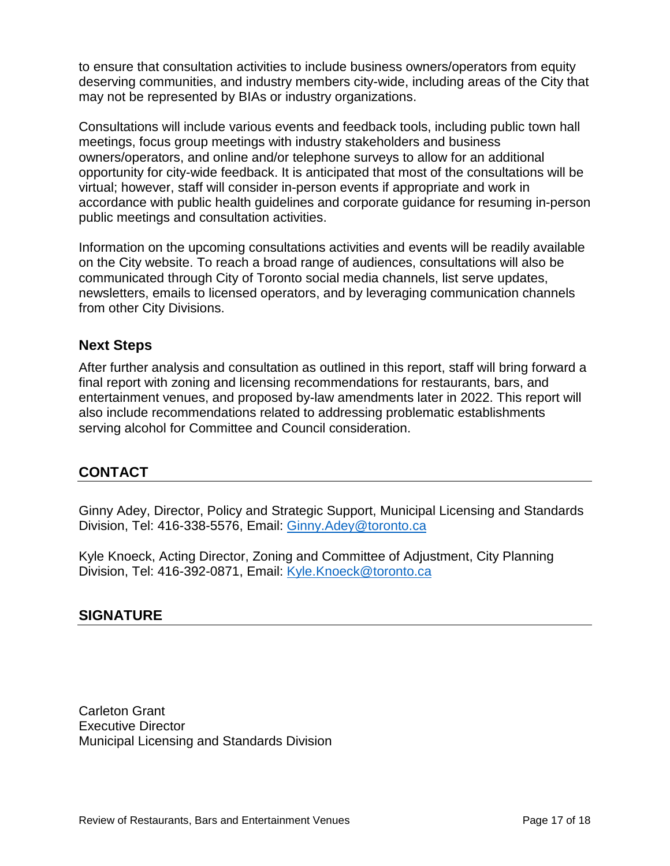to ensure that consultation activities to include business owners/operators from equity deserving communities, and industry members city-wide, including areas of the City that may not be represented by BIAs or industry organizations.

Consultations will include various events and feedback tools, including public town hall meetings, focus group meetings with industry stakeholders and business owners/operators, and online and/or telephone surveys to allow for an additional opportunity for city-wide feedback. It is anticipated that most of the consultations will be virtual; however, staff will consider in-person events if appropriate and work in accordance with public health guidelines and corporate guidance for resuming in-person public meetings and consultation activities.

Information on the upcoming consultations activities and events will be readily available on the City website. To reach a broad range of audiences, consultations will also be communicated through City of Toronto social media channels, list serve updates, newsletters, emails to licensed operators, and by leveraging communication channels from other City Divisions.

#### **Next Steps**

After further analysis and consultation as outlined in this report, staff will bring forward a final report with zoning and licensing recommendations for restaurants, bars, and entertainment venues, and proposed by-law amendments later in 2022. This report will also include recommendations related to addressing problematic establishments serving alcohol for Committee and Council consideration.

# **CONTACT**

Ginny Adey, Director, Policy and Strategic Support, Municipal Licensing and Standards Division, Tel: 416-338-5576, Email: [Ginny.Adey@toronto.ca](mailto:Ginny.Adey@toronto.ca)

Kyle Knoeck, Acting Director, Zoning and Committee of Adjustment, City Planning Division, Tel: 416-392-0871, Email: [Kyle.Knoeck@toronto.ca](mailto:Kyle.Knoeck@toronto.ca)

#### **SIGNATURE**

Carleton Grant Executive Director Municipal Licensing and Standards Division